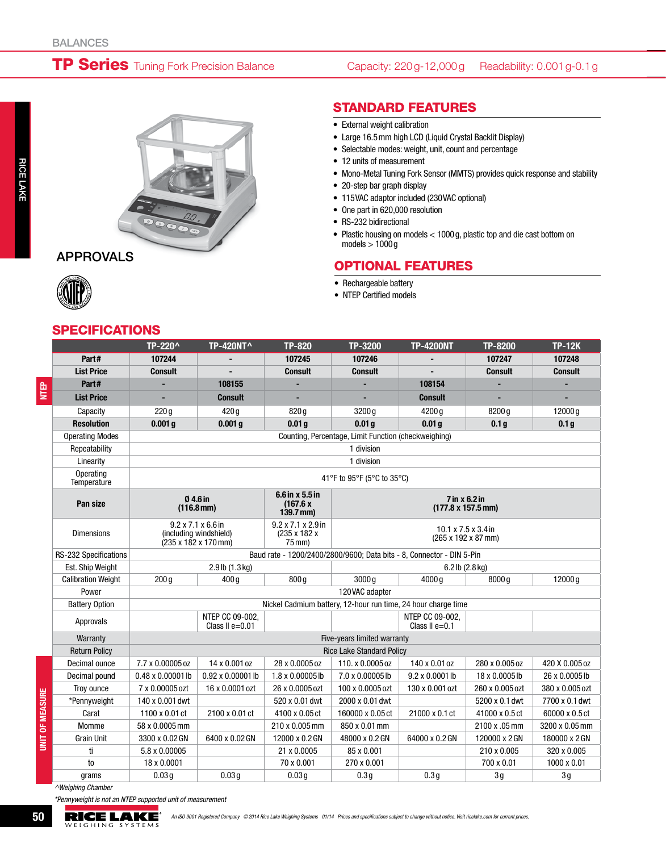# **TP Series** Tuning Fork Precision Balance

#### Capacity: 220g-12,000g Readability: 0.001g-0.1g



### APPROVALS

NTEP

rice Lake

#### **SPECIFICATIONS**

|  | <b>STANDARD FEATURES</b> |  |
|--|--------------------------|--|

- External weight calibration
- • Large 16.5mm high LCD (Liquid Crystal Backlit Display)
- Selectable modes: weight, unit, count and percentage
- 12 units of measurement
- Mono-Metal Tuning Fork Sensor (MMTS) provides quick response and stability
- 20-step bar graph display
- • 115VAC adaptor included (230VAC optional)
- One part in 620,000 resolution
- RS-232 bidirectional
- • Plastic housing on models < 1000g, plastic top and die cast bottom on models  $> 1000$  g

## Optional Features

- Rechargeable battery
- NTEP Certified models

|                              | TP-220^                                                                                                                                      | <b>TP-420NT^</b>                   | <b>TP-820</b>                                              | TP-3200                                                | <b>TP-4200NT</b>                                                      | TP-8200          | <b>TP-12K</b>    |
|------------------------------|----------------------------------------------------------------------------------------------------------------------------------------------|------------------------------------|------------------------------------------------------------|--------------------------------------------------------|-----------------------------------------------------------------------|------------------|------------------|
| Part#                        | 107244                                                                                                                                       |                                    | 107245                                                     | 107246                                                 |                                                                       | 107247           | 107248           |
| <b>List Price</b>            | <b>Consult</b>                                                                                                                               |                                    | <b>Consult</b>                                             | <b>Consult</b>                                         |                                                                       | <b>Consult</b>   | <b>Consult</b>   |
| Part#                        |                                                                                                                                              | 108155                             |                                                            |                                                        | 108154                                                                |                  |                  |
| <b>List Price</b>            | ÷,                                                                                                                                           | <b>Consult</b>                     |                                                            |                                                        | <b>Consult</b>                                                        |                  |                  |
| Capacity                     | 220q                                                                                                                                         | 420q                               | 820 g                                                      | 3200q                                                  | 4200 g                                                                | 8200 g           | 12000q           |
| <b>Resolution</b>            | 0.001 <sub>q</sub>                                                                                                                           | 0.001 <sub>q</sub>                 | 0.01 <sub>q</sub>                                          | 0.01 <sub>q</sub>                                      | 0.01 <sub>q</sub>                                                     | 0.1 <sub>g</sub> | 0.1 <sub>g</sub> |
| <b>Operating Modes</b>       | Counting, Percentage, Limit Function (checkweighing)                                                                                         |                                    |                                                            |                                                        |                                                                       |                  |                  |
| Repeatability                |                                                                                                                                              |                                    |                                                            | 1 division                                             |                                                                       |                  |                  |
| Linearity                    | 1 division                                                                                                                                   |                                    |                                                            |                                                        |                                                                       |                  |                  |
| Operating<br>Temperature     | 41°F to 95°F (5°C to 35°C)                                                                                                                   |                                    |                                                            |                                                        |                                                                       |                  |                  |
| Pan size                     | $6.6$ in $\times$ 5.5 in<br>04.6 in<br>7 in x 6.2 in<br>(167.6 x<br>$(177.8 \times 157.5 \text{ mm})$<br>$(116.8 \text{ mm})$<br>$139.7$ mm) |                                    |                                                            |                                                        |                                                                       |                  |                  |
| <b>Dimensions</b>            | $9.2 \times 7.1 \times 6.6$ in<br>(including windshield)<br>$(235 \times 182 \times 170 \text{ mm})$                                         |                                    | $9.2 \times 7.1 \times 2.9$ in<br>(235 x 182 x<br>$75$ mm) | $10.1 \times 7.5 \times 3.4$ in<br>(265 x 192 x 87 mm) |                                                                       |                  |                  |
| <b>RS-232 Specifications</b> |                                                                                                                                              |                                    |                                                            |                                                        | Baud rate - 1200/2400/2800/9600: Data bits - 8. Connector - DIN 5-Pin |                  |                  |
| Est. Ship Weight             | 2.9 lb (1.3 kg)                                                                                                                              |                                    |                                                            | 6.2 lb (2.8 kg)                                        |                                                                       |                  |                  |
| <b>Calibration Weight</b>    | 200 <sub>g</sub>                                                                                                                             | 400q                               | 800q                                                       | 3000g                                                  | 4000 g                                                                | 8000 g           | 12000 g          |
| Power                        |                                                                                                                                              |                                    |                                                            | 120VAC adapter                                         |                                                                       |                  |                  |
| <b>Battery Option</b>        |                                                                                                                                              |                                    |                                                            |                                                        | Nickel Cadmium battery, 12-hour run time, 24 hour charge time         |                  |                  |
| Approvals                    |                                                                                                                                              | NTEP CC 09-002.<br>Class II e=0.01 |                                                            |                                                        | NTEP CC 09-002.<br>Class II $e=0.1$                                   |                  |                  |
| Warranty                     | Five-years limited warranty                                                                                                                  |                                    |                                                            |                                                        |                                                                       |                  |                  |
| <b>Return Policy</b>         | <b>Rice Lake Standard Policy</b>                                                                                                             |                                    |                                                            |                                                        |                                                                       |                  |                  |
| Decimal ounce                | 7.7 x 0.00005 oz                                                                                                                             | 14 x 0.001 oz                      | 28 x 0.0005 oz                                             | 110. x 0.0005 oz                                       | 140 x 0.01 oz                                                         | 280 x 0.005 oz   | 420 X 0.005 oz   |
| Decimal pound                | 0.48 x 0.00001 lb                                                                                                                            | 0.92 x 0.00001 lb                  | $1.8 \times 0.00005$ lb                                    | 7.0 x 0.00005 lb                                       | 9.2 x 0.0001 lb                                                       | 18 x 0.0005 lb   | 26 x 0.0005 lb   |
| Troy ounce                   | 7 x 0.00005 ozt                                                                                                                              | 16 x 0.0001 ozt                    | 26 x 0.0005 ozt                                            | 100 x 0.0005 ozt                                       | 130 x 0.001 ozt                                                       | 260 x 0.005 ozt  | 380 x 0.005 ozt  |
| *Pennyweight                 | 140 x 0.001 dwt                                                                                                                              |                                    | 520 x 0.01 dwt                                             | 2000 x 0.01 dwt                                        |                                                                       | 5200 x 0.1 dwt   | 7700 x 0.1 dwt   |
| Carat                        | 1100 x 0.01 ct                                                                                                                               | 2100 x 0.01 ct                     | 4100 x 0.05 ct                                             | 160000 x 0.05 ct                                       | 21000 x 0.1 ct                                                        | 41000 x 0.5 ct   | 60000 x 0.5 ct   |
| Momme                        | 58 x 0.0005 mm                                                                                                                               |                                    | 210 x 0.005 mm                                             | 850 x 0.01 mm                                          |                                                                       | 2100 x .05 mm    | 3200 x 0.05 mm   |
| <b>Grain Unit</b>            | 3300 x 0.02 GN                                                                                                                               | 6400 x 0.02 GN                     | 12000 x 0.2 GN                                             | 48000 x 0.2 GN                                         | 64000 x 0.2 GN                                                        | 120000 x 2 GN    | 180000 x 2 GN    |
| ti                           | 5.8 x 0.00005                                                                                                                                |                                    | 21 x 0.0005                                                | 85 x 0.001                                             |                                                                       | 210 x 0.005      | 320 x 0.005      |
| to                           | 18 x 0.0001                                                                                                                                  |                                    | 70 x 0.001                                                 | 270 x 0.001                                            |                                                                       | 700 x 0.01       | 1000 x 0.01      |
| grams                        | 0.03 <sub>g</sub>                                                                                                                            | 0.03q                              | 0.03g                                                      | 0.3 <sub>g</sub>                                       | 0.3q                                                                  | 3g               | 3g               |

 *^Weighing Chamber*

 *\*Pennyweight is not an NTEP supported unit of measurement*



UNIT OF MEASURE

**UNIT OF MEASURE**